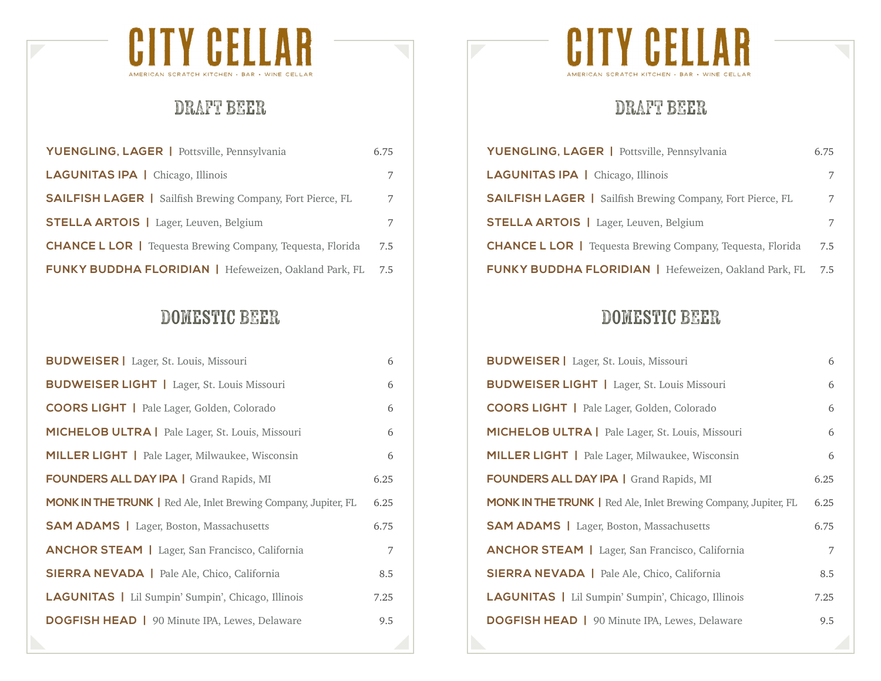

### DRAFT BEER

| YUENGLING, LAGER   Pottsville, Pennsylvania                       | 6.75 |
|-------------------------------------------------------------------|------|
| <b>LAGUNITAS IPA</b>   Chicago, Illinois                          | 7    |
| <b>SAILFISH LAGER</b>   Sailfish Brewing Company, Fort Pierce, FL | 7    |
| <b>STELLA ARTOIS</b>   Lager, Leuven, Belgium                     | 7    |
| <b>CHANCE L LOR</b>   Tequesta Brewing Company, Tequesta, Florida | 7.5  |
| <b>FUNKY BUDDHA FLORIDIAN</b>   Hefeweizen, Oakland Park, FL      | 7.5  |

#### Domestic BEER

| <b>BUDWEISER</b>   Lager, St. Louis, Missouri                          | 6    |
|------------------------------------------------------------------------|------|
| <b>BUDWEISER LIGHT</b>   Lager, St. Louis Missouri                     | 6    |
| <b>COORS LIGHT</b>   Pale Lager, Golden, Colorado                      | 6    |
| <b>MICHELOB ULTRA</b>   Pale Lager, St. Louis, Missouri                | 6    |
| <b>MILLER LIGHT</b>   Pale Lager, Milwaukee, Wisconsin                 | 6    |
| <b>FOUNDERS ALL DAY IPA   Grand Rapids, MI</b>                         | 6.25 |
| <b>MONK IN THE TRUNK</b>   Red Ale, Inlet Brewing Company, Jupiter, FL | 6.25 |
| <b>SAM ADAMS</b>   Lager, Boston, Massachusetts                        | 6.75 |
| <b>ANCHOR STEAM</b>   Lager, San Francisco, California                 | 7    |
| <b>SIERRA NEVADA</b>   Pale Ale, Chico, California                     | 8.5  |
| <b>LAGUNITAS</b>   Lil Sumpin' Sumpin', Chicago, Illinois              | 7.25 |
| <b>DOGFISH HEAD</b>   90 Minute IPA, Lewes, Delaware                   | 9.5  |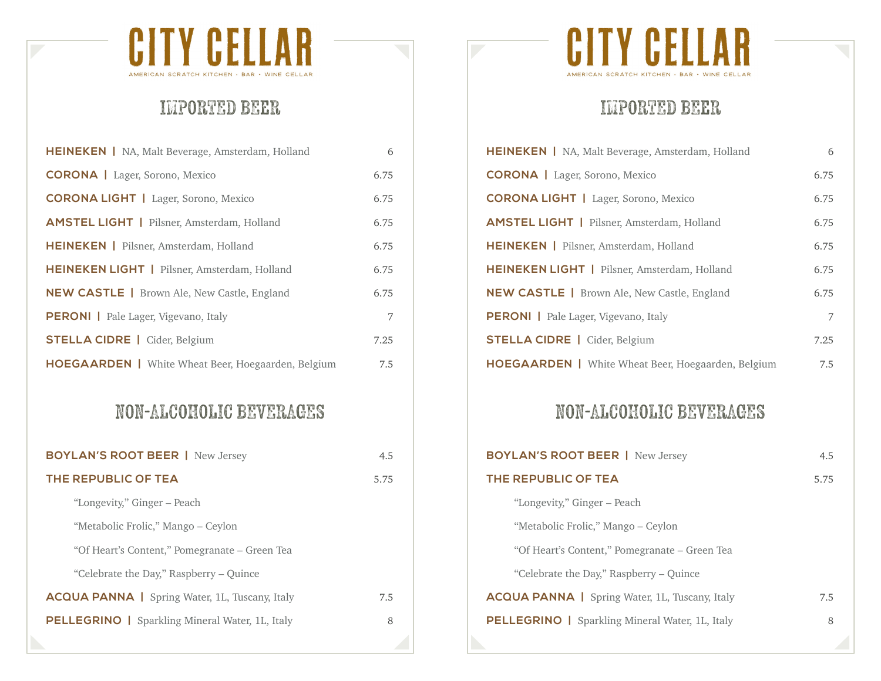

# IMPORTED BEER

| <b>HEINEKEN</b>   NA, Malt Beverage, Amsterdam, Holland   | 6    |
|-----------------------------------------------------------|------|
| <b>CORONA</b>   Lager, Sorono, Mexico                     | 6.75 |
| <b>CORONA LIGHT</b>   Lager, Sorono, Mexico               | 6.75 |
| <b>AMSTEL LIGHT</b>   Pilsner, Amsterdam, Holland         | 6.75 |
| <b>HEINEKEN</b>   Pilsner, Amsterdam, Holland             | 6.75 |
| <b>HEINEKEN LIGHT</b>   Pilsner, Amsterdam, Holland       | 6.75 |
| <b>NEW CASTLE</b>   Brown Ale, New Castle, England        | 6.75 |
| <b>PERONI</b>   Pale Lager, Vigevano, Italy               | 7    |
| <b>STELLA CIDRE</b>   Cider, Belgium                      | 7.25 |
| <b>HOEGAARDEN</b>   White Wheat Beer, Hoegaarden, Belgium | 7.5  |

#### NON-ALCOHOLIC BEVERAGES

| <b>BOYLAN'S ROOT BEER   New Jersey</b>                 | 4.5  |
|--------------------------------------------------------|------|
| THE REPUBLIC OF TEA                                    | 5.75 |
| "Longevity," Ginger – Peach                            |      |
| "Metabolic Frolic," Mango - Ceylon                     |      |
| "Of Heart's Content," Pomegranate – Green Tea          |      |
| "Celebrate the Day," Raspberry – Quince                |      |
| <b>ACQUA PANNA</b>   Spring Water, 1L, Tuscany, Italy  | 7.5  |
| <b>PELLEGRINO</b>   Sparkling Mineral Water, 1L, Italy | 8    |